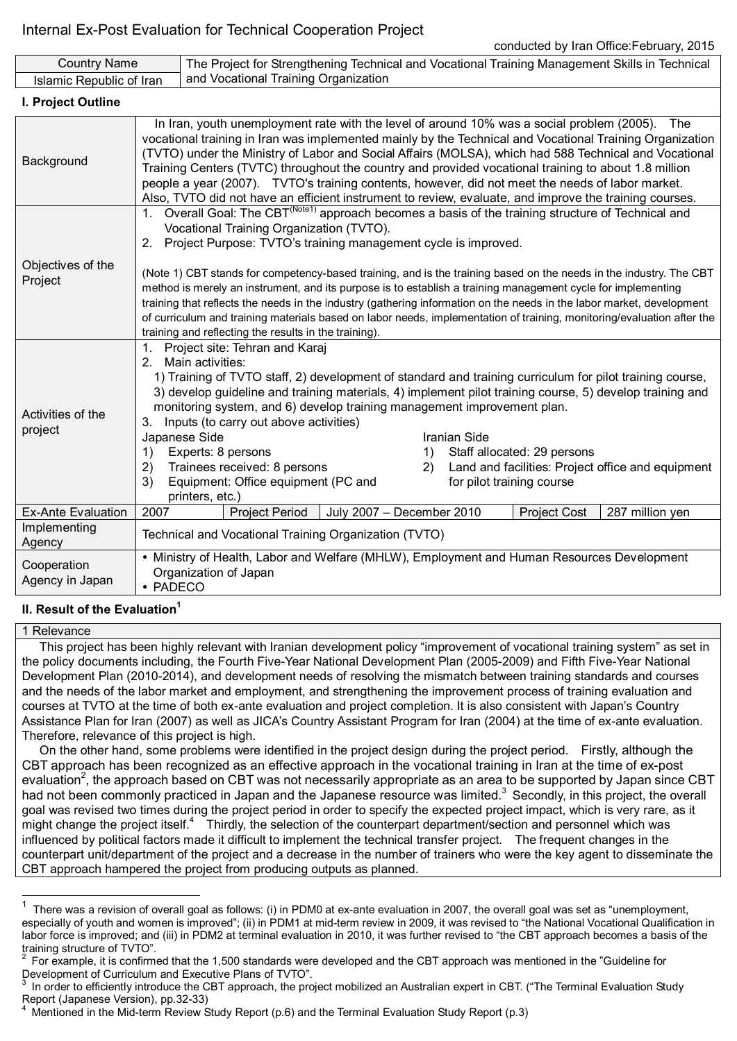| <b>Country Name</b>            |                                                                                                                                                                                                                                                                                                                                                                                                                                                                                                                                                                                                                                                                                                                                                                                    | The Project for Strengthening Technical and Vocational Training Management Skills in Technical |                       |                           |  |  |                     |                 |  |
|--------------------------------|------------------------------------------------------------------------------------------------------------------------------------------------------------------------------------------------------------------------------------------------------------------------------------------------------------------------------------------------------------------------------------------------------------------------------------------------------------------------------------------------------------------------------------------------------------------------------------------------------------------------------------------------------------------------------------------------------------------------------------------------------------------------------------|------------------------------------------------------------------------------------------------|-----------------------|---------------------------|--|--|---------------------|-----------------|--|
| Islamic Republic of Iran       |                                                                                                                                                                                                                                                                                                                                                                                                                                                                                                                                                                                                                                                                                                                                                                                    | and Vocational Training Organization                                                           |                       |                           |  |  |                     |                 |  |
| I. Project Outline             |                                                                                                                                                                                                                                                                                                                                                                                                                                                                                                                                                                                                                                                                                                                                                                                    |                                                                                                |                       |                           |  |  |                     |                 |  |
| Background                     | In Iran, youth unemployment rate with the level of around 10% was a social problem (2005). The<br>vocational training in Iran was implemented mainly by the Technical and Vocational Training Organization<br>(TVTO) under the Ministry of Labor and Social Affairs (MOLSA), which had 588 Technical and Vocational<br>Training Centers (TVTC) throughout the country and provided vocational training to about 1.8 million<br>people a year (2007). TVTO's training contents, however, did not meet the needs of labor market.<br>Also, TVTO did not have an efficient instrument to review, evaluate, and improve the training courses.                                                                                                                                          |                                                                                                |                       |                           |  |  |                     |                 |  |
| Objectives of the<br>Project   | 1. Overall Goal: The CBT <sup>(Note1)</sup> approach becomes a basis of the training structure of Technical and<br>Vocational Training Organization (TVTO).<br>2. Project Purpose: TVTO's training management cycle is improved.<br>(Note 1) CBT stands for competency-based training, and is the training based on the needs in the industry. The CBT<br>method is merely an instrument, and its purpose is to establish a training management cycle for implementing<br>training that reflects the needs in the industry (gathering information on the needs in the labor market, development<br>of curriculum and training materials based on labor needs, implementation of training, monitoring/evaluation after the<br>training and reflecting the results in the training). |                                                                                                |                       |                           |  |  |                     |                 |  |
| Activities of the<br>project   | 1. Project site: Tehran and Karaj<br>2. Main activities:<br>1) Training of TVTO staff, 2) development of standard and training curriculum for pilot training course,<br>3) develop guideline and training materials, 4) implement pilot training course, 5) develop training and<br>monitoring system, and 6) develop training management improvement plan.<br>3. Inputs (to carry out above activities)<br>Japanese Side<br>Iranian Side<br>Experts: 8 persons<br>Staff allocated: 29 persons<br>1)<br>1)<br>Trainees received: 8 persons<br>Land and facilities: Project office and equipment<br>2)<br>2)<br>Equipment: Office equipment (PC and<br>for pilot training course<br>3)<br>printers, etc.)                                                                           |                                                                                                |                       |                           |  |  |                     |                 |  |
| Ex-Ante Evaluation             | 2007                                                                                                                                                                                                                                                                                                                                                                                                                                                                                                                                                                                                                                                                                                                                                                               |                                                                                                | <b>Project Period</b> | July 2007 - December 2010 |  |  | <b>Project Cost</b> | 287 million yen |  |
| Implementing<br>Agency         | Technical and Vocational Training Organization (TVTO)                                                                                                                                                                                                                                                                                                                                                                                                                                                                                                                                                                                                                                                                                                                              |                                                                                                |                       |                           |  |  |                     |                 |  |
| Cooperation<br>Agency in Japan | • Ministry of Health, Labor and Welfare (MHLW), Employment and Human Resources Development<br>Organization of Japan<br>• PADECO                                                                                                                                                                                                                                                                                                                                                                                                                                                                                                                                                                                                                                                    |                                                                                                |                       |                           |  |  |                     |                 |  |

# **II. Result of the Evaluation<sup>1</sup>**

### 1 Relevance

This project has been highly relevant with Iranian development policy "improvement of vocational training system" as set in the policy documents including, the Fourth Five-Year National Development Plan (2005-2009) and Fifth Five-Year National Development Plan (2010-2014), and development needs of resolving the mismatch between training standards and courses and the needs of the labor market and employment, and strengthening the improvement process of training evaluation and courses at TVTO at the time of both ex-ante evaluation and project completion. It is also consistent with Japan's Country Assistance Plan for Iran (2007) as well as JICA's Country Assistant Program for Iran (2004) at the time of ex-ante evaluation. Therefore, relevance of this project is high.

On the other hand, some problems were identified in the project design during the project period. Firstly, although the CBT approach has been recognized as an effective approach in the vocational training in Iran at the time of ex-post evaluation<sup>2</sup>, the approach based on CBT was not necessarily appropriate as an area to be supported by Japan since CBT had not been commonly practiced in Japan and the Japanese resource was limited.<sup>3</sup> Secondly, in this project, the overall goal was revised two times during the project period in order to specify the expected project impact, which is very rare, as it might change the project itself.<sup>4</sup> Thirdly, the selection of the counterpart department/section and personnel which was influenced by political factors made it difficult to implement the technical transfer project. The frequent changes in the counterpart unit/department of the project and a decrease in the number of trainers who were the key agent to disseminate the CBT approach hampered the project from producing outputs as planned.

 1 There was a revision of overall goal as follows: (i) in PDM0 at ex-ante evaluation in 2007, the overall goal was set as "unemployment, especially of youth and women is improved"; (ii) in PDM1 at mid-term review in 2009, it was revised to "the National Vocational Qualification in labor force is improved; and (iii) in PDM2 at terminal evaluation in 2010, it was further revised to "the CBT approach becomes a basis of the training structure of TVTO".<br><sup>2</sup> For example, it is confirm

For example, it is confirmed that the 1,500 standards were developed and the CBT approach was mentioned in the "Guideline for Development of Curriculum and Executive Plans of TVTO".

<sup>3</sup> In order to efficiently introduce the CBT approach, the project mobilized an Australian expert in CBT. ("The Terminal Evaluation Study Report (Japanese Version), pp.32-33)

<sup>4</sup> Mentioned in the Mid-term Review Study Report (p.6) and the Terminal Evaluation Study Report (p.3)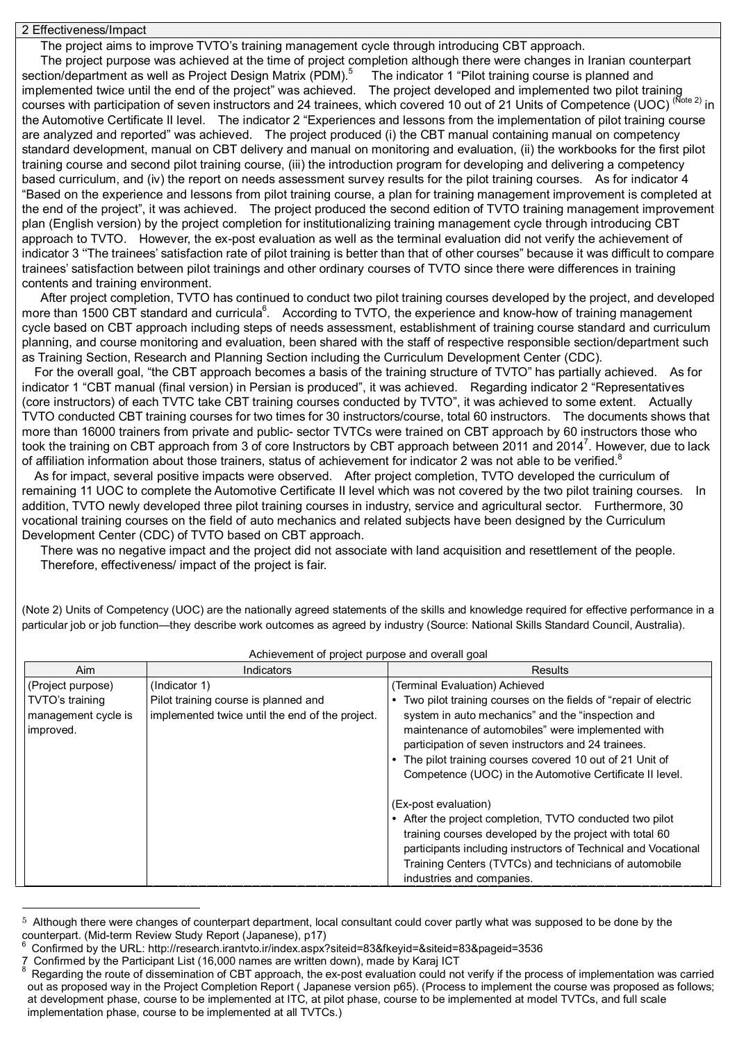2 Effectiveness/Impact

The project aims to improve TVTO's training management cycle through introducing CBT approach.

The project purpose was achieved at the time of project completion although there were changes in Iranian counterpart section/department as well as Project Design Matrix (PDM).<sup>5</sup> The indicator 1 "Pilot training course is planned and implemented twice until the end of the project" was achieved. The project developed and implemented two pilot training courses with participation of seven instructors and 24 trainees, which covered 10 out of 21 Units of Competence (UOC) (Note 2) in the Automotive Certificate II level. The indicator 2 "Experiences and lessons from the implementation of pilot training course are analyzed and reported" was achieved. The project produced (i) the CBT manual containing manual on competency standard development, manual on CBT delivery and manual on monitoring and evaluation, (ii) the workbooks for the first pilot training course and second pilot training course, (iii) the introduction program for developing and delivering a competency based curriculum, and (iv) the report on needs assessment survey results for the pilot training courses. As for indicator 4 "Based on the experience and lessons from pilot training course, a plan for training management improvement is completed at the end of the project", it was achieved. The project produced the second edition of TVTO training management improvement plan (English version) by the project completion for institutionalizing training management cycle through introducing CBT approach to TVTO. However, the ex-post evaluation as well as the terminal evaluation did not verify the achievement of indicator 3 "The trainees' satisfaction rate of pilot training is better than that of other courses" because it was difficult to compare trainees' satisfaction between pilot trainings and other ordinary courses of TVTO since there were differences in training contents and training environment.

After project completion, TVTO has continued to conduct two pilot training courses developed by the project, and developed more than 1500 CBT standard and curricula<sup>6</sup>. According to TVTO, the experience and know-how of training management cycle based on CBT approach including steps of needs assessment, establishment of training course standard and curriculum planning, and course monitoring and evaluation, been shared with the staff of respective responsible section/department such as Training Section, Research and Planning Section including the Curriculum Development Center (CDC).

For the overall goal, "the CBT approach becomes a basis of the training structure of TVTO" has partially achieved. As for indicator 1 "CBT manual (final version) in Persian is produced", it was achieved. Regarding indicator 2 "Representatives (core instructors) of each TVTC take CBT training courses conducted by TVTO", it was achieved to some extent. Actually TVTO conducted CBT training courses for two times for 30 instructors/course, total 60 instructors. The documents shows that more than 16000 trainers from private and public- sector TVTCs were trained on CBT approach by 60 instructors those who took the training on CBT approach from 3 of core Instructors by CBT approach between 2011 and 2014<sup>7</sup>. However, due to lack of affiliation information about those trainers, status of achievement for indicator 2 was not able to be verified.<sup>8</sup>

As for impact, several positive impacts were observed. After project completion, TVTO developed the curriculum of remaining 11 UOC to complete the Automotive Certificate II level which was not covered by the two pilot training courses. In addition, TVTO newly developed three pilot training courses in industry, service and agricultural sector. Furthermore, 30 vocational training courses on the field of auto mechanics and related subjects have been designed by the Curriculum Development Center (CDC) of TVTO based on CBT approach.

There was no negative impact and the project did not associate with land acquisition and resettlement of the people. Therefore, effectiveness/ impact of the project is fair.

(Note 2) Units of Competency (UOC) are the nationally agreed statements of the skills and knowledge required for effective performance in a particular job or job function—they describe work outcomes as agreed by industry (Source: National Skills Standard Council, Australia).

| Aim                                                 | Indicators                                                                              | Results                                                                                                                                                                                                                                                                                                                                                 |
|-----------------------------------------------------|-----------------------------------------------------------------------------------------|---------------------------------------------------------------------------------------------------------------------------------------------------------------------------------------------------------------------------------------------------------------------------------------------------------------------------------------------------------|
| (Project purpose)                                   | (Indicator 1)                                                                           | (Terminal Evaluation) Achieved                                                                                                                                                                                                                                                                                                                          |
| TVTO's training<br>management cycle is<br>improved. | Pilot training course is planned and<br>implemented twice until the end of the project. | Two pilot training courses on the fields of "repair of electric<br>system in auto mechanics" and the "inspection and<br>maintenance of automobiles" were implemented with<br>participation of seven instructors and 24 trainees.<br>The pilot training courses covered 10 out of 21 Unit of<br>Competence (UOC) in the Automotive Certificate II level. |
|                                                     |                                                                                         | (Ex-post evaluation)<br>After the project completion, TVTO conducted two pilot<br>training courses developed by the project with total 60<br>participants including instructors of Technical and Vocational<br>Training Centers (TVTCs) and technicians of automobile<br>industries and companies.                                                      |

## Achievement of project purpose and overall goal

 $\overline{a}$ 

<sup>5</sup> Although there were changes of counterpart department, local consultant could cover partly what was supposed to be done by the counterpart. (Mid-term Review Study Report (Japanese), p17)

<sup>6</sup> Confirmed by the URL: http://research.irantvto.ir/index.aspx?siteid=83&fkeyid=&siteid=83&pageid=3536

<sup>7</sup> Confirmed by the Participant List (16,000 names are written down), made by Karaj ICT

Regarding the route of dissemination of CBT approach, the ex-post evaluation could not verify if the process of implementation was carried out as proposed way in the Project Completion Report ( Japanese version p65). (Process to implement the course was proposed as follows; at development phase, course to be implemented at ITC, at pilot phase, course to be implemented at model TVTCs, and full scale implementation phase, course to be implemented at all TVTCs.)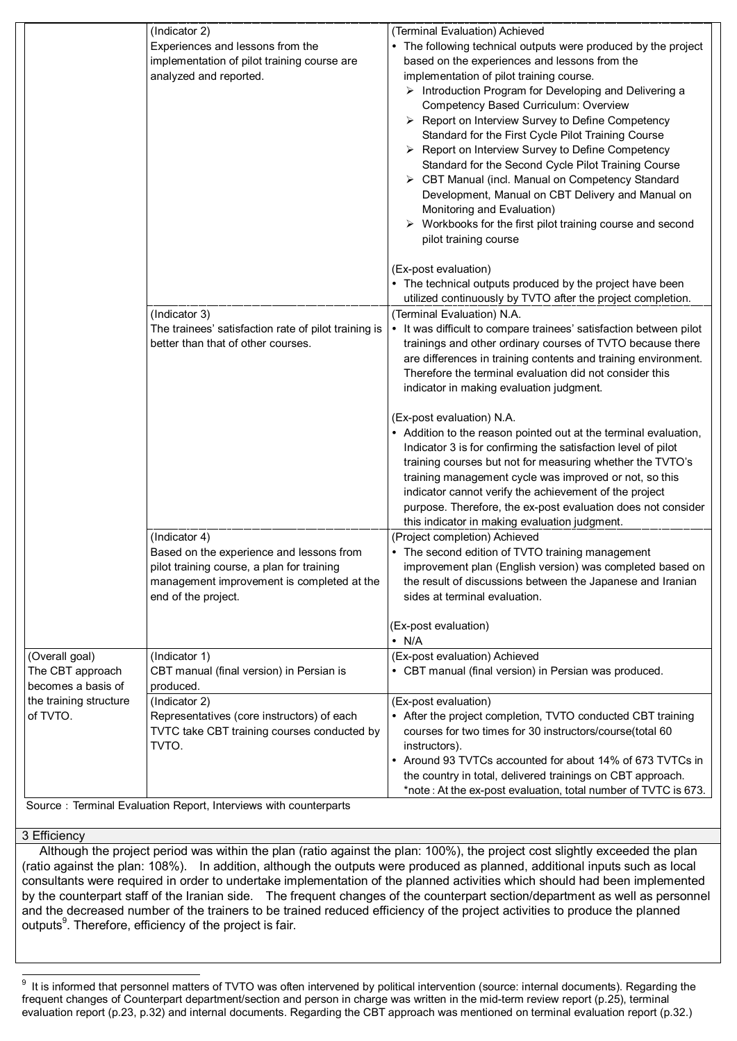|                        | (Indicator 2)                                        | (Terminal Evaluation) Achieved                                                                                               |  |  |  |
|------------------------|------------------------------------------------------|------------------------------------------------------------------------------------------------------------------------------|--|--|--|
|                        | Experiences and lessons from the                     | • The following technical outputs were produced by the project                                                               |  |  |  |
|                        | implementation of pilot training course are          | based on the experiences and lessons from the                                                                                |  |  |  |
|                        | analyzed and reported.                               | implementation of pilot training course.                                                                                     |  |  |  |
|                        |                                                      | > Introduction Program for Developing and Delivering a                                                                       |  |  |  |
|                        |                                                      | Competency Based Curriculum: Overview                                                                                        |  |  |  |
|                        |                                                      | > Report on Interview Survey to Define Competency                                                                            |  |  |  |
|                        |                                                      | Standard for the First Cycle Pilot Training Course                                                                           |  |  |  |
|                        |                                                      | > Report on Interview Survey to Define Competency                                                                            |  |  |  |
|                        |                                                      | Standard for the Second Cycle Pilot Training Course                                                                          |  |  |  |
|                        |                                                      | > CBT Manual (incl. Manual on Competency Standard                                                                            |  |  |  |
|                        |                                                      | Development, Manual on CBT Delivery and Manual on                                                                            |  |  |  |
|                        |                                                      | Monitoring and Evaluation)                                                                                                   |  |  |  |
|                        |                                                      | $\triangleright$ Workbooks for the first pilot training course and second                                                    |  |  |  |
|                        |                                                      | pilot training course                                                                                                        |  |  |  |
|                        |                                                      | (Ex-post evaluation)                                                                                                         |  |  |  |
|                        |                                                      | • The technical outputs produced by the project have been                                                                    |  |  |  |
|                        |                                                      | utilized continuously by TVTO after the project completion.                                                                  |  |  |  |
|                        | (Indicator 3)                                        | (Terminal Evaluation) N.A.                                                                                                   |  |  |  |
|                        | The trainees' satisfaction rate of pilot training is | • It was difficult to compare trainees' satisfaction between pilot                                                           |  |  |  |
|                        | better than that of other courses.                   | trainings and other ordinary courses of TVTO because there                                                                   |  |  |  |
|                        |                                                      | are differences in training contents and training environment.                                                               |  |  |  |
|                        |                                                      | Therefore the terminal evaluation did not consider this                                                                      |  |  |  |
|                        |                                                      | indicator in making evaluation judgment.                                                                                     |  |  |  |
|                        |                                                      | (Ex-post evaluation) N.A.                                                                                                    |  |  |  |
|                        |                                                      | • Addition to the reason pointed out at the terminal evaluation,                                                             |  |  |  |
|                        |                                                      | Indicator 3 is for confirming the satisfaction level of pilot                                                                |  |  |  |
|                        |                                                      | training courses but not for measuring whether the TVTO's                                                                    |  |  |  |
|                        |                                                      | training management cycle was improved or not, so this                                                                       |  |  |  |
|                        |                                                      | indicator cannot verify the achievement of the project                                                                       |  |  |  |
|                        |                                                      | purpose. Therefore, the ex-post evaluation does not consider                                                                 |  |  |  |
|                        | (Indicator 4)                                        | this indicator in making evaluation judgment.                                                                                |  |  |  |
|                        | Based on the experience and lessons from             | (Project completion) Achieved<br>The second edition of TVTO training management                                              |  |  |  |
|                        | pilot training course, a plan for training           | improvement plan (English version) was completed based on                                                                    |  |  |  |
|                        | management improvement is completed at the           | the result of discussions between the Japanese and Iranian                                                                   |  |  |  |
|                        | end of the project.                                  | sides at terminal evaluation.                                                                                                |  |  |  |
|                        |                                                      |                                                                                                                              |  |  |  |
|                        |                                                      | (Ex-post evaluation)<br>$\cdot$ N/A                                                                                          |  |  |  |
| (Overall goal)         | (Indicator 1)                                        | (Ex-post evaluation) Achieved                                                                                                |  |  |  |
| The CBT approach       | CBT manual (final version) in Persian is             | • CBT manual (final version) in Persian was produced.                                                                        |  |  |  |
| becomes a basis of     | produced.                                            |                                                                                                                              |  |  |  |
| the training structure | (Indicator 2)                                        | (Ex-post evaluation)                                                                                                         |  |  |  |
| of TVTO.               | Representatives (core instructors) of each           | • After the project completion, TVTO conducted CBT training                                                                  |  |  |  |
|                        | TVTC take CBT training courses conducted by          | courses for two times for 30 instructors/course(total 60                                                                     |  |  |  |
|                        | TVTO.                                                | instructors).                                                                                                                |  |  |  |
|                        |                                                      | • Around 93 TVTCs accounted for about 14% of 673 TVTCs in                                                                    |  |  |  |
|                        |                                                      | the country in total, delivered trainings on CBT approach.<br>*note: At the ex-post evaluation, total number of TVTC is 673. |  |  |  |
|                        |                                                      |                                                                                                                              |  |  |  |

Source: Terminal Evaluation Report, Interviews with counterparts

#### 3 Efficiency

Although the project period was within the plan (ratio against the plan: 100%), the project cost slightly exceeded the plan (ratio against the plan: 108%). In addition, although the outputs were produced as planned, additional inputs such as local consultants were required in order to undertake implementation of the planned activities which should had been implemented by the counterpart staff of the Iranian side. The frequent changes of the counterpart section/department as well as personnel and the decreased number of the trainers to be trained reduced efficiency of the project activities to produce the planned outputs<sup>9</sup>. Therefore, efficiency of the project is fair.

<sup>-&</sup>lt;br>9 It is informed that personnel matters of TVTO was often intervened by political intervention (source: internal documents). Regarding the frequent changes of Counterpart department/section and person in charge was written in the mid-term review report (p.25), terminal evaluation report (p.23, p.32) and internal documents. Regarding the CBT approach was mentioned on terminal evaluation report (p.32.)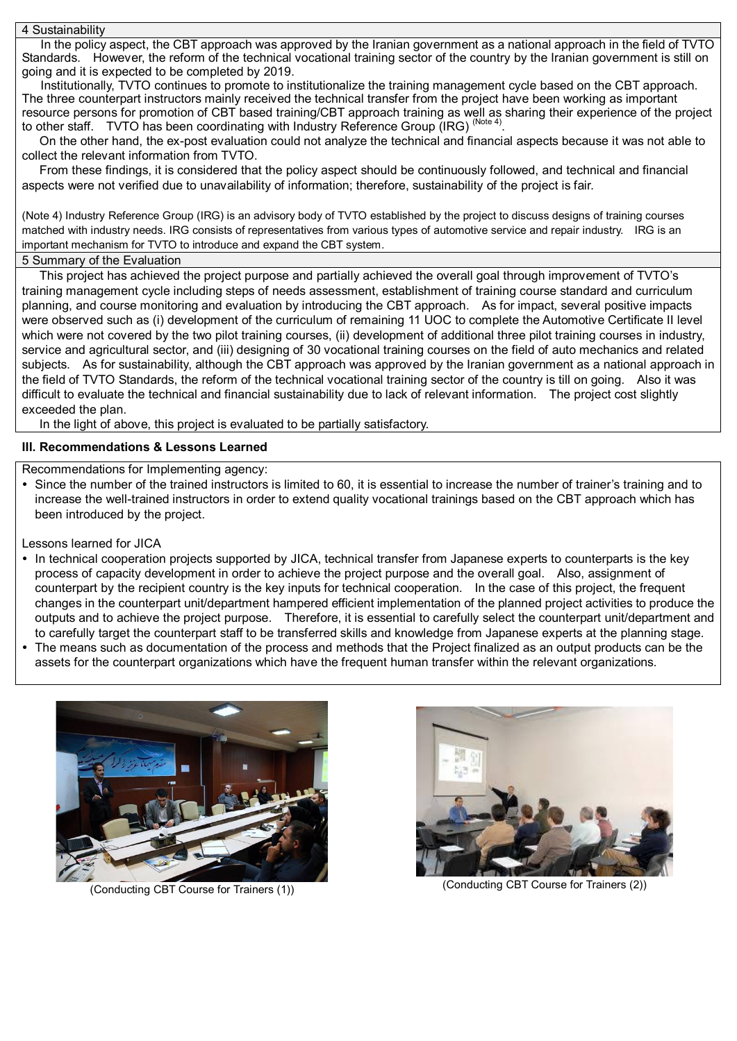4 Sustainability

In the policy aspect, the CBT approach was approved by the Iranian government as a national approach in the field of TVTO Standards. However, the reform of the technical vocational training sector of the country by the Iranian government is still on going and it is expected to be completed by 2019.

Institutionally, TVTO continues to promote to institutionalize the training management cycle based on the CBT approach. The three counterpart instructors mainly received the technical transfer from the project have been working as important resource persons for promotion of CBT based training/CBT approach training as well as sharing their experience of the project to other staff. TVTO has been coordinating with Industry Reference Group (IRG) (Note 4)

On the other hand, the ex-post evaluation could not analyze the technical and financial aspects because it was not able to collect the relevant information from TVTO.

From these findings, it is considered that the policy aspect should be continuously followed, and technical and financial aspects were not verified due to unavailability of information; therefore, sustainability of the project is fair.

(Note 4) Industry Reference Group (IRG) is an advisory body of TVTO established by the project to discuss designs of training courses matched with industry needs. IRG consists of representatives from various types of automotive service and repair industry. IRG is an important mechanism for TVTO to introduce and expand the CBT system.

## 5 Summary of the Evaluation

This project has achieved the project purpose and partially achieved the overall goal through improvement of TVTO's training management cycle including steps of needs assessment, establishment of training course standard and curriculum planning, and course monitoring and evaluation by introducing the CBT approach. As for impact, several positive impacts were observed such as (i) development of the curriculum of remaining 11 UOC to complete the Automotive Certificate II level which were not covered by the two pilot training courses, (ii) development of additional three pilot training courses in industry, service and agricultural sector, and (iii) designing of 30 vocational training courses on the field of auto mechanics and related subjects. As for sustainability, although the CBT approach was approved by the Iranian government as a national approach in the field of TVTO Standards, the reform of the technical vocational training sector of the country is till on going. Also it was difficult to evaluate the technical and financial sustainability due to lack of relevant information. The project cost slightly exceeded the plan.

In the light of above, this project is evaluated to be partially satisfactory.

## **III. Recommendations & Lessons Learned**

Recommendations for Implementing agency:

 Since the number of the trained instructors is limited to 60, it is essential to increase the number of trainer's training and to increase the well-trained instructors in order to extend quality vocational trainings based on the CBT approach which has been introduced by the project.

## Lessons learned for JICA

- In technical cooperation projects supported by JICA, technical transfer from Japanese experts to counterparts is the key process of capacity development in order to achieve the project purpose and the overall goal. Also, assignment of counterpart by the recipient country is the key inputs for technical cooperation. In the case of this project, the frequent changes in the counterpart unit/department hampered efficient implementation of the planned project activities to produce the outputs and to achieve the project purpose. Therefore, it is essential to carefully select the counterpart unit/department and to carefully target the counterpart staff to be transferred skills and knowledge from Japanese experts at the planning stage.
- The means such as documentation of the process and methods that the Project finalized as an output products can be the assets for the counterpart organizations which have the frequent human transfer within the relevant organizations.



(Conducting CBT Course for Trainers (1))



(Conducting CBT Course for Trainers (2))